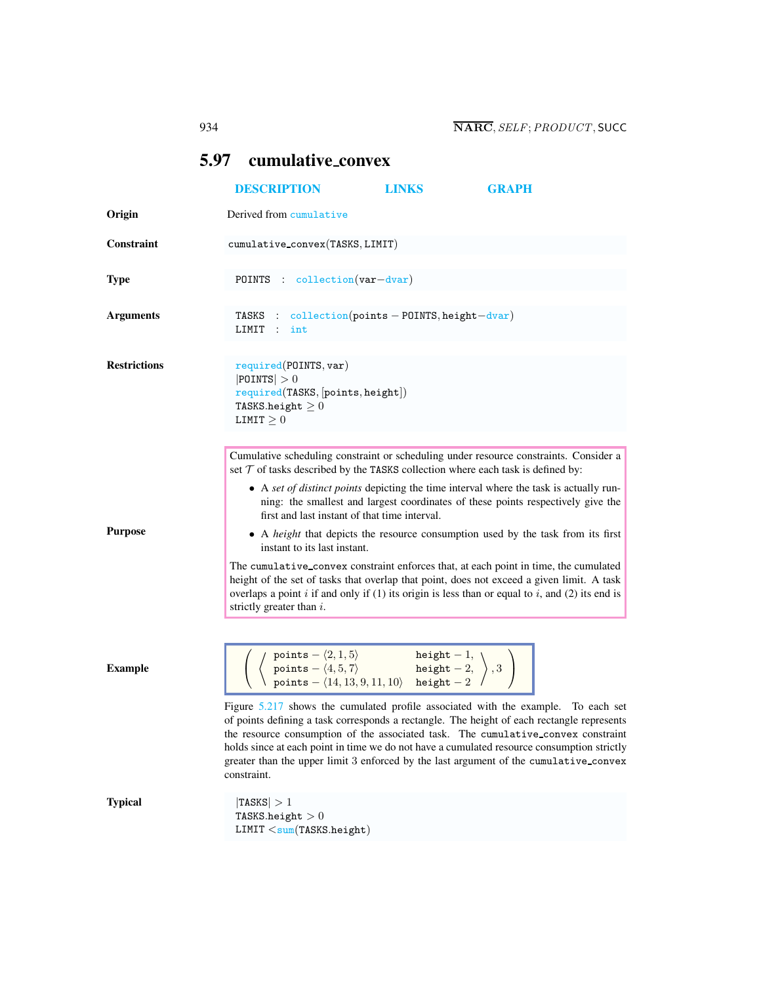# <span id="page-0-0"></span>5.97 cumulative convex

|                     | <b>DESCRIPTION</b>                                                                                                                                                                                                                                                                                                                                                                                                                                                                                                                                                                                                                                                                                                                                                             | <b>LINKS</b>                                                                    | <b>GRAPH</b>                                                                                                                                                               |
|---------------------|--------------------------------------------------------------------------------------------------------------------------------------------------------------------------------------------------------------------------------------------------------------------------------------------------------------------------------------------------------------------------------------------------------------------------------------------------------------------------------------------------------------------------------------------------------------------------------------------------------------------------------------------------------------------------------------------------------------------------------------------------------------------------------|---------------------------------------------------------------------------------|----------------------------------------------------------------------------------------------------------------------------------------------------------------------------|
| Origin              | Derived from cumulative                                                                                                                                                                                                                                                                                                                                                                                                                                                                                                                                                                                                                                                                                                                                                        |                                                                                 |                                                                                                                                                                            |
| <b>Constraint</b>   | cumulative_convex(TASKS, LIMIT)                                                                                                                                                                                                                                                                                                                                                                                                                                                                                                                                                                                                                                                                                                                                                |                                                                                 |                                                                                                                                                                            |
| <b>Type</b>         | POINTS : collection (var-dvar)                                                                                                                                                                                                                                                                                                                                                                                                                                                                                                                                                                                                                                                                                                                                                 |                                                                                 |                                                                                                                                                                            |
| <b>Arguments</b>    | TASKS :<br>LIMIT :<br>int                                                                                                                                                                                                                                                                                                                                                                                                                                                                                                                                                                                                                                                                                                                                                      | $\text{collection}(\text{points} - \text{POLNTS}, \text{height} - \text{dvar})$ |                                                                                                                                                                            |
| <b>Restrictions</b> | required(POINTS, var)<br>$ $ POINTS $ >0$<br>required(TASKS, [points, height])<br>TASKS.height $\geq 0$<br>LIMIT $\geq 0$                                                                                                                                                                                                                                                                                                                                                                                                                                                                                                                                                                                                                                                      |                                                                                 |                                                                                                                                                                            |
|                     | Cumulative scheduling constraint or scheduling under resource constraints. Consider a<br>set $T$ of tasks described by the TASKS collection where each task is defined by:<br>first and last instant of that time interval.                                                                                                                                                                                                                                                                                                                                                                                                                                                                                                                                                    |                                                                                 | • A set of distinct points depicting the time interval where the task is actually run-<br>ning: the smallest and largest coordinates of these points respectively give the |
| <b>Purpose</b>      | instant to its last instant.<br>The cumulative_convex constraint enforces that, at each point in time, the cumulated<br>height of the set of tasks that overlap that point, does not exceed a given limit. A task<br>overlaps a point $i$ if and only if (1) its origin is less than or equal to $i$ , and (2) its end is<br>strictly greater than $i$ .                                                                                                                                                                                                                                                                                                                                                                                                                       |                                                                                 | • A height that depicts the resource consumption used by the task from its first                                                                                           |
| <b>Example</b>      | $\left\langle \begin{array}{l} \text{points} - \langle 2,1,5\rangle \qquad \qquad \text{height} - 1, \\ \text{points} - \langle 4,5,7\rangle \qquad \qquad \text{height} - 2, \\ \text{points} - \langle 14,13,9,11,10\rangle \qquad \text{height} - 2 \end{array} \right\rangle, 3 \;\;\Bigg\}$<br>Figure 5.217 shows the cumulated profile associated with the example. To each set<br>of points defining a task corresponds a rectangle. The height of each rectangle represents<br>the resource consumption of the associated task. The cumulative_convex constraint<br>holds since at each point in time we do not have a cumulated resource consumption strictly<br>greater than the upper limit 3 enforced by the last argument of the cumulative_convex<br>constraint. |                                                                                 |                                                                                                                                                                            |
| <b>Typical</b>      | TASKS  > 1<br>TASKS.height $>0$<br>LIMIT < sum(TASKS. height)                                                                                                                                                                                                                                                                                                                                                                                                                                                                                                                                                                                                                                                                                                                  |                                                                                 |                                                                                                                                                                            |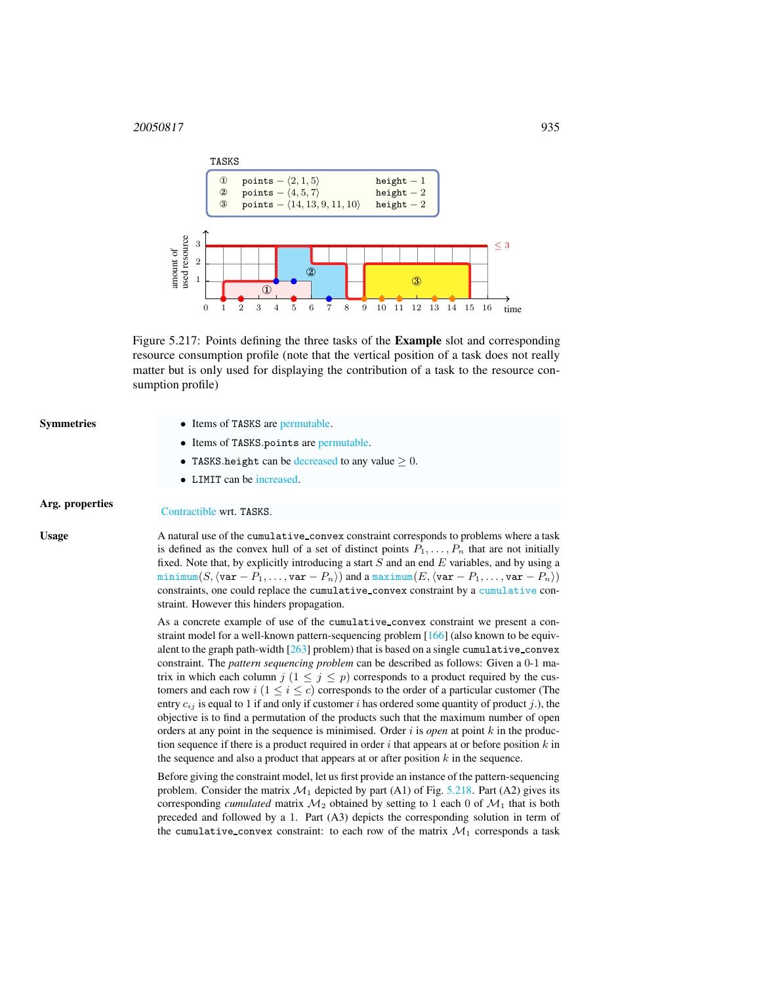## 20050817 935



<span id="page-1-0"></span>Figure 5.217: Points defining the three tasks of the Example slot and corresponding resource consumption profile (note that the vertical position of a task does not really matter but is only used for displaying the contribution of a task to the resource consumption profile)

- Symmetries Items of TASKS are permutable.
	- Items of TASKS.points are permutable.
	- TASKS.height can be decreased to any value  $\geq 0$ .
	- LIMIT can be increased.

# Arg. properties Contractible wrt. TASKS.

Usage A natural use of the cumulative convex constraint corresponds to problems where a task is defined as the convex hull of a set of distinct points  $P_1, \ldots, P_n$  that are not initially fixed. Note that, by explicitly introducing a start  $S$  and an end  $E$  variables, and by using a minimum(S,  $\langle \text{var} - P_1, \ldots, \text{var} - P_n \rangle$ ) and a maximum(E,  $\langle \text{var} - P_1, \ldots, \text{var} - P_n \rangle$ ) constraints, one could replace the cumulative convex constraint by a cumulative constraint. However this hinders propagation.

> As a concrete example of use of the cumulative convex constraint we present a constraint model for a well-known pattern-sequencing problem [166] (also known to be equivalent to the graph path-width [263] problem) that is based on a single cumulative convex constraint. The *pattern sequencing problem* can be described as follows: Given a 0-1 matrix in which each column  $j$   $(1 \le j \le p)$  corresponds to a product required by the customers and each row  $i$  ( $1 \le i \le c$ ) corresponds to the order of a particular customer (The entry  $c_{ij}$  is equal to 1 if and only if customer i has ordered some quantity of product j.), the objective is to find a permutation of the products such that the maximum number of open orders at any point in the sequence is minimised. Order  $i$  is *open* at point  $k$  in the production sequence if there is a product required in order  $i$  that appears at or before position  $k$  in the sequence and also a product that appears at or after position  $k$  in the sequence.

> Before giving the constraint model, let us first provide an instance of the pattern-sequencing problem. Consider the matrix  $\mathcal{M}_1$  depicted by part (A1) of Fig. [5.218.](#page-2-0) Part (A2) gives its corresponding *cumulated* matrix  $\mathcal{M}_2$  obtained by setting to 1 each 0 of  $\mathcal{M}_1$  that is both preceded and followed by a 1. Part (A3) depicts the corresponding solution in term of the cumulative convex constraint: to each row of the matrix  $\mathcal{M}_1$  corresponds a task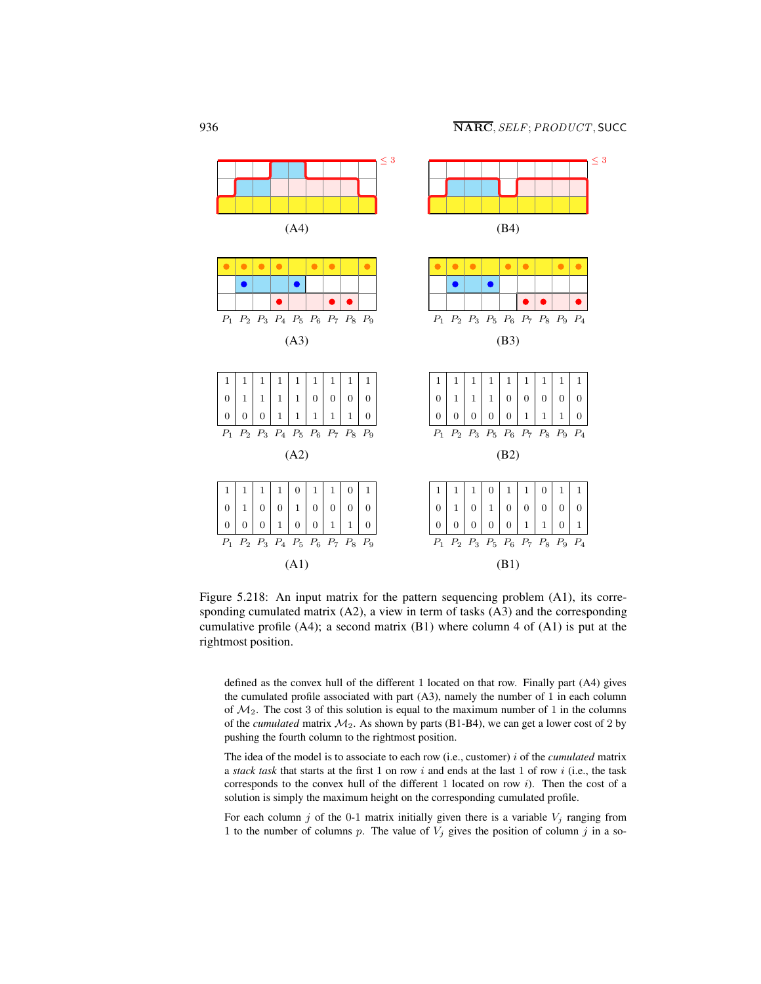

<span id="page-2-0"></span>Figure 5.218: An input matrix for the pattern sequencing problem (A1), its corresponding cumulated matrix (A2), a view in term of tasks (A3) and the corresponding cumulative profile (A4); a second matrix (B1) where column 4 of (A1) is put at the rightmost position.

defined as the convex hull of the different 1 located on that row. Finally part (A4) gives the cumulated profile associated with part (A3), namely the number of 1 in each column of  $M_2$ . The cost 3 of this solution is equal to the maximum number of 1 in the columns of the *cumulated* matrix  $M_2$ . As shown by parts (B1-B4), we can get a lower cost of 2 by pushing the fourth column to the rightmost position.

The idea of the model is to associate to each row (i.e., customer) i of the *cumulated* matrix a *stack task* that starts at the first 1 on row  $i$  and ends at the last 1 of row  $i$  (i.e., the task corresponds to the convex hull of the different 1 located on row  $i$ ). Then the cost of a solution is simply the maximum height on the corresponding cumulated profile.

For each column j of the 0-1 matrix initially given there is a variable  $V_i$  ranging from 1 to the number of columns p. The value of  $V_j$  gives the position of column j in a so-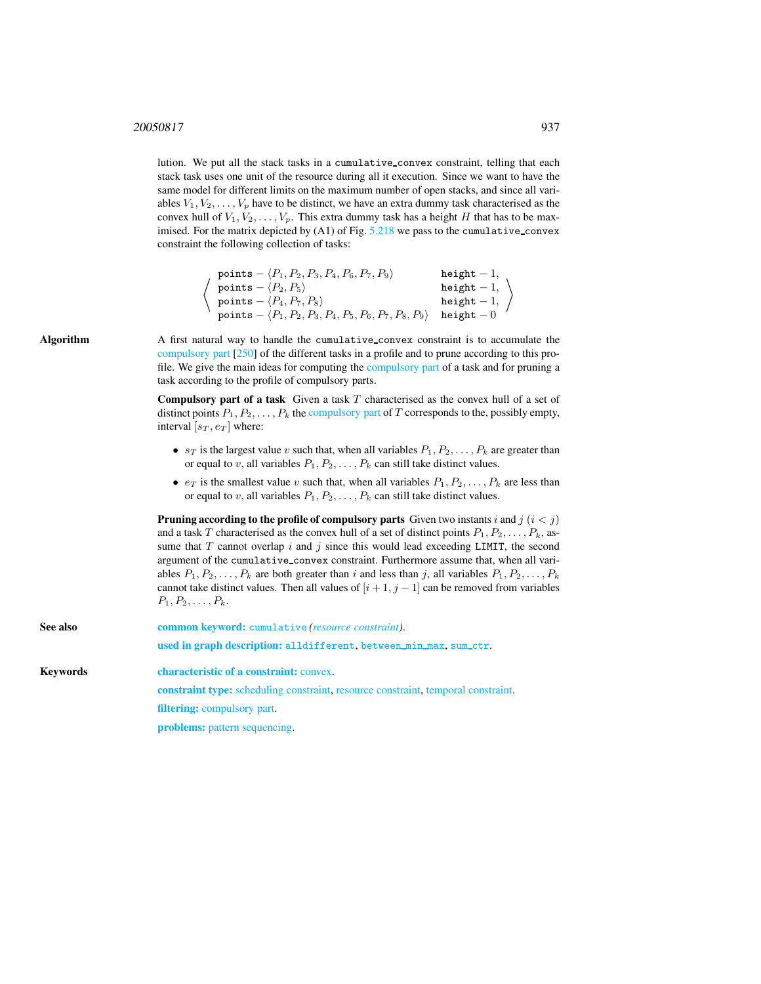## 20050817 937

lution. We put all the stack tasks in a cumulative convex constraint, telling that each stack task uses one unit of the resource during all it execution. Since we want to have the same model for different limits on the maximum number of open stacks, and since all variables  $V_1, V_2, \ldots, V_p$  have to be distinct, we have an extra dummy task characterised as the convex hull of  $V_1, V_2, \ldots, V_p$ . This extra dummy task has a height H that has to be maximised. For the matrix depicted by  $(A1)$  of Fig.  $5.218$  we pass to the cumulative convex constraint the following collection of tasks:

| points $- \langle P_1, P_2, P_3, P_4, P_6, P_7, P_9 \rangle$           | height $-1$ , |
|------------------------------------------------------------------------|---------------|
| points $-\langle P_2, P_5 \rangle$                                     | height $-1$ , |
| points $-\langle P_4, P_7, P_8 \rangle$                                | height $-1$ , |
| points $- \langle P_1, P_2, P_3, P_4, P_5, P_6, P_7, P_8, P_9 \rangle$ | height $-0$   |

Algorithm A first natural way to handle the cumulative convex constraint is to accumulate the compulsory part [250] of the different tasks in a profile and to prune according to this profile. We give the main ideas for computing the compulsory part of a task and for pruning a task according to the profile of compulsory parts.

> **Compulsory part of a task** Given a task  $T$  characterised as the convex hull of a set of distinct points  $P_1, P_2, \ldots, P_k$  the compulsory part of T corresponds to the, possibly empty, interval  $[s_T, e_T]$  where:

- $s_T$  is the largest value v such that, when all variables  $P_1, P_2, \ldots, P_k$  are greater than or equal to v, all variables  $P_1, P_2, \ldots, P_k$  can still take distinct values.
- $e_T$  is the smallest value v such that, when all variables  $P_1, P_2, \ldots, P_k$  are less than or equal to v, all variables  $P_1, P_2, \ldots, P_k$  can still take distinct values.

**Pruning according to the profile of compulsory parts** Given two instants i and  $j$  ( $i < j$ ) and a task T characterised as the convex hull of a set of distinct points  $P_1, P_2, \ldots, P_k$ , assume that  $T$  cannot overlap  $i$  and  $j$  since this would lead exceeding LIMIT, the second argument of the cumulative convex constraint. Furthermore assume that, when all variables  $P_1, P_2, \ldots, P_k$  are both greater than i and less than j, all variables  $P_1, P_2, \ldots, P_k$ cannot take distinct values. Then all values of  $[i+1, j-1]$  can be removed from variables  $P_1, P_2, \ldots, P_k$ .

<span id="page-3-0"></span>

| See also | <b>common keyword:</b> cumulative <i>(resource constraint)</i> .<br>used in graph description: alldifferent, between min max, sum_ctr. |  |  |
|----------|----------------------------------------------------------------------------------------------------------------------------------------|--|--|
| Kevwords | characteristic of a constraint: convex.                                                                                                |  |  |
|          | <b>constraint type:</b> scheduling constraint, resource constraint, temporal constraint.                                               |  |  |
|          | <b>filtering:</b> compulsory part.                                                                                                     |  |  |
|          | problems: pattern sequencing.                                                                                                          |  |  |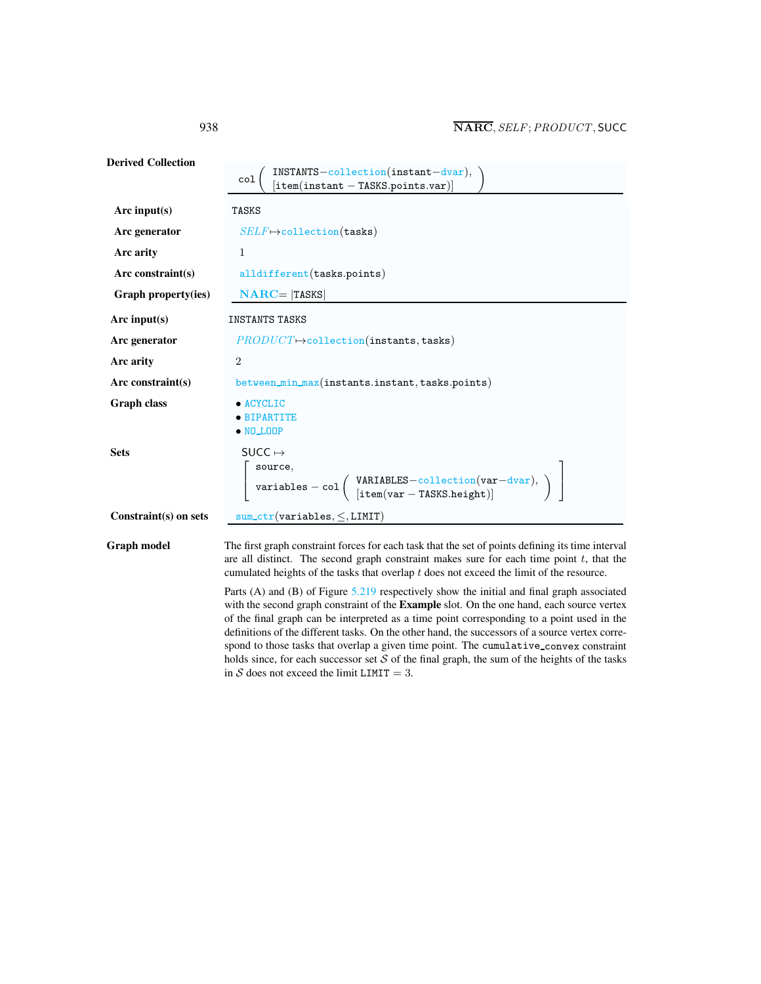| <b>Derived Collection</b> | $INTS-collection(instant-dvar),$<br>[item(instant - TASKS.points.var)]<br>col                                                                                                                                                                                                                                                                                                              |  |  |
|---------------------------|--------------------------------------------------------------------------------------------------------------------------------------------------------------------------------------------------------------------------------------------------------------------------------------------------------------------------------------------------------------------------------------------|--|--|
| Arc input $(s)$           | TASKS                                                                                                                                                                                                                                                                                                                                                                                      |  |  |
| Arc generator             | $SELF \mapsto$ collection(tasks)                                                                                                                                                                                                                                                                                                                                                           |  |  |
| Arc arity                 | $\mathbf{1}$                                                                                                                                                                                                                                                                                                                                                                               |  |  |
| Arc constraint $(s)$      | alldifferent (tasks.points)                                                                                                                                                                                                                                                                                                                                                                |  |  |
| Graph property(ies)       | $NARC =  TASKS $                                                                                                                                                                                                                                                                                                                                                                           |  |  |
| Arc input(s)              | <b>INSTANTS TASKS</b>                                                                                                                                                                                                                                                                                                                                                                      |  |  |
| Arc generator             | $PRODUCT \rightarrow collection (instants, tasks)$                                                                                                                                                                                                                                                                                                                                         |  |  |
| Arc arity                 | $\overline{2}$                                                                                                                                                                                                                                                                                                                                                                             |  |  |
| $Arc$ constraint(s)       | between_min_max(instants.instant,tasks.points)                                                                                                                                                                                                                                                                                                                                             |  |  |
| <b>Graph class</b>        | • ACYCLIC<br>• BIPARTITE<br>$\bullet$ NO_LOOP                                                                                                                                                                                                                                                                                                                                              |  |  |
| <b>Sets</b>               | SUCC $\mapsto$<br>$\left[ \begin{array}{ll} \texttt{source}, & \\ \texttt{variables} - \texttt{col} \left( \begin{array}{ll} \texttt{VARIABLES}-\texttt{collection}(\texttt{var}-\texttt{dvar}), \\ [\texttt{item}(\texttt{var}-\texttt{IASS}.\texttt{height})] \end{array} \right) \end{array} \right]$                                                                                   |  |  |
| Constraint(s) on sets     | $sum_c tr(variable s, \le, LIMIT)$                                                                                                                                                                                                                                                                                                                                                         |  |  |
| Graph model               | The first graph constraint forces for each task that the set of points defining its time interval<br>are all distinct. The second graph constraint makes sure for each time point $t$ , that the<br>cumulated heights of the tasks that overlap t does not exceed the limit of the resource.<br>Parts (A) and (B) of Figure 5.219 respectively show the initial and final graph associated |  |  |
|                           | with the second graph constraint of the <b>Example</b> slot. On the one hand, each source vertex                                                                                                                                                                                                                                                                                           |  |  |

of the final graph can be interpreted as a time point corresponding to a point used in the definitions of the different tasks. On the other hand, the successors of a source vertex correspond to those tasks that overlap a given time point. The cumulative convex constraint holds since, for each successor set  $S$  of the final graph, the sum of the heights of the tasks in S does not exceed the limit LIMIT = 3.

<span id="page-4-0"></span>